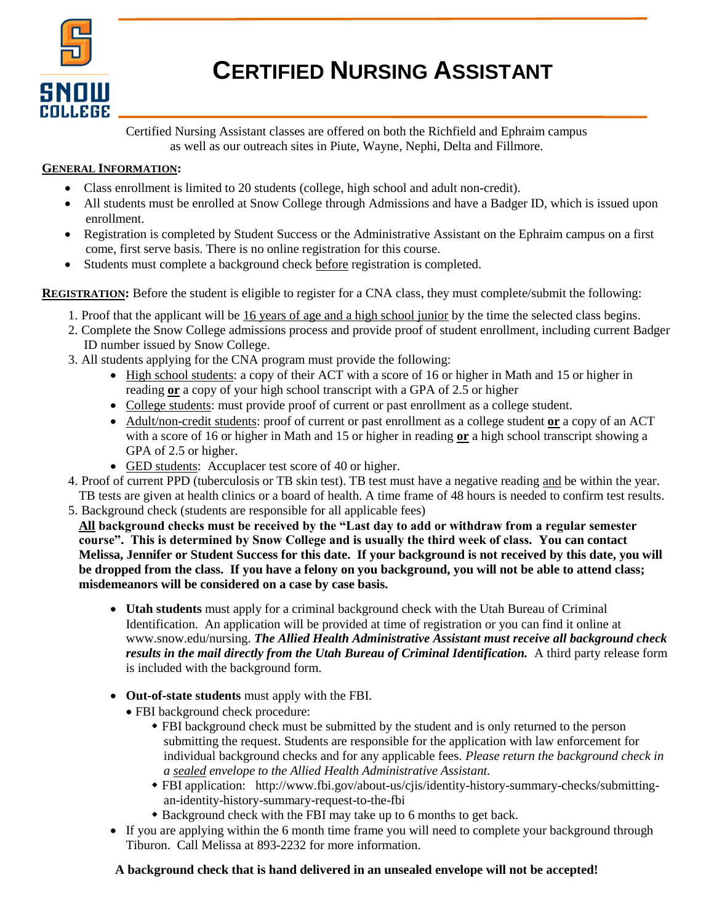

# **CERTIFIED NURSING ASSISTANT**

Certified Nursing Assistant classes are offered on both the Richfield and Ephraim campus as well as our outreach sites in Piute, Wayne, Nephi, Delta and Fillmore.

# **GENERAL INFORMATION:**

- Class enrollment is limited to 20 students (college, high school and adult non-credit).
- All students must be enrolled at Snow College through Admissions and have a Badger ID, which is issued upon enrollment.
- Registration is completed by Student Success or the Administrative Assistant on the Ephraim campus on a first come, first serve basis. There is no online registration for this course.
- Students must complete a background check before registration is completed.

**REGISTRATION:** Before the student is eligible to register for a CNA class, they must complete/submit the following:

- 1. Proof that the applicant will be 16 years of age and a high school junior by the time the selected class begins.
- 2. Complete the Snow College admissions process and provide proof of student enrollment, including current Badger ID number issued by Snow College.
- 3. All students applying for the CNA program must provide the following:
	- High school students: a copy of their ACT with a score of 16 or higher in Math and 15 or higher in reading **or** a copy of your high school transcript with a GPA of 2.5 or higher
	- College students: must provide proof of current or past enrollment as a college student.
	- Adult/non-credit students: proof of current or past enrollment as a college student **or** a copy of an ACT with a score of 16 or higher in Math and 15 or higher in reading **or** a high school transcript showing a GPA of 2.5 or higher.
	- GED students: Accuplacer test score of 40 or higher.
- 4. Proof of current PPD (tuberculosis or TB skin test). TB test must have a negative reading and be within the year. TB tests are given at health clinics or a board of health. A time frame of 48 hours is needed to confirm test results.
- 5. Background check (students are responsible for all applicable fees)

**All background checks must be received by the "Last day to add or withdraw from a regular semester course". This is determined by Snow College and is usually the third week of class. You can contact Melissa, Jennifer or Student Success for this date. If your background is not received by this date, you will be dropped from the class. If you have a felony on you background, you will not be able to attend class; misdemeanors will be considered on a case by case basis.**

- **Utah students** must apply for a criminal background check with the Utah Bureau of Criminal Identification. An application will be provided at time of registration or you can find it online at www.snow.edu/nursing. *The Allied Health Administrative Assistant must receive all background check*  results in the mail directly from the Utah Bureau of Criminal Identification. A third party release form is included with the background form.
- **Out-of-state students** must apply with the FBI.
	- FBI background check procedure:
		- FBI background check must be submitted by the student and is only returned to the person submitting the request. Students are responsible for the application with law enforcement for individual background checks and for any applicable fees. *Please return the background check in a sealed envelope to the Allied Health Administrative Assistant.*
		- FBI application: [http://www.fbi.gov/about-us/cjis/identity-history-summary-checks/submitting](http://www.fbi.gov/about-us/cjis/identity-history-summary-checks/submitting-an-identity-history-summary-request-to-the-fbi)[an-identity-history-summary-request-to-the-fbi](http://www.fbi.gov/about-us/cjis/identity-history-summary-checks/submitting-an-identity-history-summary-request-to-the-fbi)
		- Background check with the FBI may take up to 6 months to get back.
- If you are applying within the 6 month time frame you will need to complete your background through Tiburon. Call Melissa at 893-2232 for more information.

## **A background check that is hand delivered in an unsealed envelope will not be accepted!**